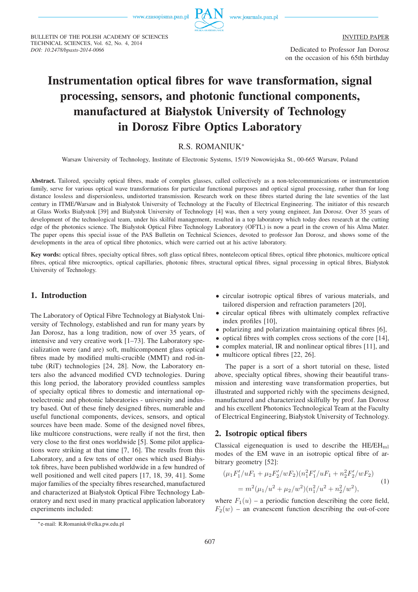BULLETIN OF THE POLISH ACADEMY OF SCIENCES

TECHNICAL SCIENCES, Vol. 62, No. 4, 2014

*DOI: 10.2478/bpasts-2014-0066*



INVITED PAPER

Dedicated to Professor Jan Dorosz on the occasion of his 65th birthday

# **Instrumentation optical fibres for wave transformation, signal processing, sensors, and photonic functional components, manufactured at Białystok University of Technology in Dorosz Fibre Optics Laboratory**

## R.S. ROMANIUK<sup>∗</sup>

Warsaw University of Technology, Institute of Electronic Systems, 15/19 Nowowiejska St., 00-665 Warsaw, Poland

**Abstract.** Tailored, specialty optical fibres, made of complex glasses, called collectively as a non-telecommunications or instrumentation family, serve for various optical wave transformations for particular functional purposes and optical signal processing, rather than for long distance lossless and dispersionless, undistorted transmission. Research work on these fibres started during the late seventies of the last century in ITME/Warsaw and in Białystok University of Technology at the Faculty of Electrical Engineering. The initiator of this research at Glass Works Białystok [39] and Białystok University of Technology [4] was, then a very young engineer, Jan Dorosz. Over 35 years of development of the technological team, under his skilful management, resulted in a top laboratory which today does research at the cutting edge of the photonics science. The Białystok Optical Fibre Technology Laboratory (OFTL) is now a pearl in the crown of his Alma Mater. The paper opens this special issue of the PAS Bulletin on Technical Sciences, devoted to professor Jan Dorosz, and shows some of the developments in the area of optical fibre photonics, which were carried out at his active laboratory.

**Key words:** optical fibres, specialty optical fibres, soft glass optical fibres, nontelecom optical fibres, optical fibre photonics, multicore optical fibres, optical fibre microoptics, optical capillaries, photonic fibres, structural optical fibres, signal processing in optical fibres, Białystok University of Technology.

#### **1. Introduction**

The Laboratory of Optical Fibre Technology at Białystok University of Technology, established and run for many years by Jan Dorosz, has a long tradition, now of over 35 years, of intensive and very creative work [1–73]. The Laboratory specialization were (and are) soft, multicomponent glass optical fibres made by modified multi-crucible (MMT) and rod-intube (RiT) technologies [24, 28]. Now, the Laboratory enters also the advanced modified CVD technologies. During this long period, the laboratory provided countless samples of specialty optical fibres to domestic and international optoelectronic and photonic laboratories - university and industry based. Out of these finely designed fibres, numerable and useful functional components, devices, sensors, and optical sources have been made. Some of the designed novel fibres, like multicore constructions, were really if not the first, then very close to the first ones worldwide [5]. Some pilot applications were striking at that time [7, 16]. The results from this Laboratory, and a few tens of other ones which used Białystok fibres, have been published worldwide in a few hundred of well positioned and well cited papers [17, 18, 39, 41]. Some major families of the specialty fibres researched, manufactured and characterized at Białystok Optical Fibre Technology Laboratory and next used in many practical application laboratory experiments included:

- circular isotropic optical fibres of various materials, and tailored dispersion and refraction parameters [20],
- circular optical fibres with ultimately complex refractive index profiles [10],
- polarizing and polarization maintaining optical fibres [6].
- optical fibres with complex cross sections of the core [14],
- complex material, IR and nonlinear optical fibres [11], and
- multicore optical fibres [22, 26].

The paper is a sort of a short tutorial on these, listed above, specialty optical fibres, showing their beautiful transmission and interesting wave transformation properties, but illustrated and supported richly with the specimens designed, manufactured and characterized skilfully by prof. Jan Dorosz and his excellent Photonics Technological Team at the Faculty of Electrical Engineering, Białystok University of Technology.

#### **2. Isotropic optical fibers**

Classical eigenequation is used to describe the  $HE/EH_{ml}$ modes of the EM wave in an isotropic optical fibre of arbitrary geometry [52]:

$$
(\mu_1 F_1' / u F_1 + \mu_2 F_2' / w F_2) (n_1^2 F_1' / u F_1 + n_2^2 F_2' / w F_2)
$$
  
=  $m^2 (\mu_1 / u^2 + \mu_2 / w^2) (n_1^2 / u^2 + n_2^2 / w^2),$  (1)

where  $F_1(u)$  – a periodic function describing the core field,  $F_2(w)$  – an evanescent function describing the out-of-core

<sup>∗</sup>e-mail: R.Romaniuk@elka.pw.edu.pl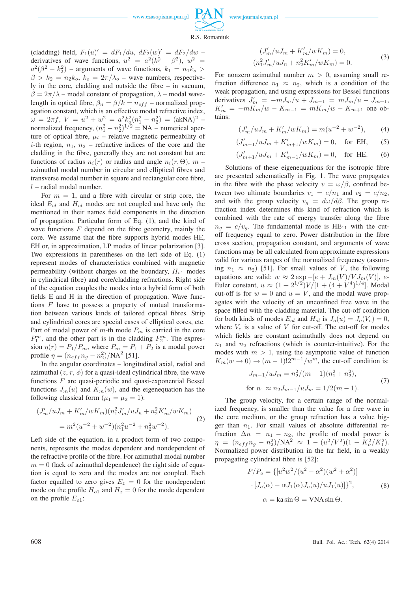www.journals.pan.pl



(cladding) field,  $F_1(u)' = dF_1/du$ ,  $dF_2(w)' = dF_2/dw$ derivatives of wave functions,  $u^2 = a^2(k_1^2 - \beta^2)$ ,  $w^2 =$  $a^2(\beta^2 - k_2^2)$  – arguments of wave functions,  $k_1 = n_1k_0 >$  $\beta > k_2 = n_2 k_0$ ,  $k_0 = 2\pi/\lambda_0$  – wave numbers, respectively in the core, cladding and outside the fibre – in vacuum,  $\beta = 2\pi/\lambda$  – modal constant of propagation,  $\lambda$  – modal wavelength in optical fibre,  $\beta_n = \beta/k = n_{eff}$  – normalized propagation constant, which is an effective modal refractive index,  $\omega = 2\pi f, V = u^2 + w^2 = a^2 k_o^2 (n_1^2 - n_2^2) = (akNA)^2$ normalized frequency,  $(n_1^2 - n_2^2)^{1/2} = NA$  – numerical aperture of optical fibre,  $\mu_i$  – relative magnetic permeability of *i*-th region,  $n_1$ ,  $n_2$  – refractive indices of the core and the cladding in the fibre, generally they are not constant but are functions of radius  $n_i(r)$  or radius and angle  $n_i(r, \Theta)$ ,  $m$  – azimuthal modal number in circular and elliptical fibres and transverse modal number in square and rectangular core fibre,  $l$  – radial modal number.

For  $m = 1$ , and a fibre with circular or strip core, the ideal  $E_{ol}$  and  $H_{ol}$  modes are not coupled and have only the mentioned in their names field components in the direction of propagation. Particular form of Eq. (1), and the kind of wave functions  $F$  depend on the fibre geometry, mainly the core. We assume that the fibre supports hybrid modes HE, EH or, in approximation, LP modes of linear polarization [3]. Two expressions in parentheses on the left side of Eq. (1) represent modes of characteristics combined with magnetic permeability (without charges on the boundary,  $H_{o1}$  modes in cylindrical fibre) and core/cladding refractions. Right side of the equation couples the modes into a hybrid form of both fields E and H in the direction of propagation. Wave functions  $F$  have to possess a property of mutual transformation between various kinds of tailored optical fibres. Strip and cylindrical cores are special cases of elliptical cores, etc. Part of modal power of  $m$ -th mode  $P_m$  is carried in the core  $P_1^m$ , and the other part is in the cladding  $P_2^m$ . The expression  $\eta(r) = P_1/P_m$ , where  $P_m = P_1 + P_2$  is a modal power profile  $\eta = (n_{eff}n_g - n_2^2)/NA^2$  [51].

In the angular coordinates – longitudinal axial, radial and azimuthal  $(z, r, \phi)$  for a quasi-ideal cylindrical fibre, the wave functions  $F$  are quasi-periodic and quasi-exponential Bessel functions  $J_m(u)$  and  $K_m(w)$ , and the eigenequation has the following classical form  $(\mu_1 = \mu_2 = 1)$ :

$$
(J'_m/uJ_m + K'_m/wK_m)(n_1^2 J'_m/uJ_n + n_2^2 K'_m/wK_m)
$$
  
=  $m^2(u^{-2} + w^{-2})(n_1^2 u^{-2} + n_2^2 w^{-2}).$  (2)

Left side of the equation, in a product form of two components, represents the modes dependent and nondependent of the refractive profile of the fibre. For azimuthal modal number  $m = 0$  (lack of azimuthal dependence) the right side of equation is equal to zero and the modes are not coupled. Each factor equalled to zero gives  $E_z = 0$  for the nondependent mode on the profile  $H_{o1}$  and  $H_z = 0$  for the mode dependent on the profile  $E_{o1}$ :

$$
(J'_{m}/uJ_{m} + K'_{m}/wK_{m}) = 0,
$$
  
\n
$$
(n_{1}^{2}J'_{m}/uJ_{n} + n_{2}^{2}K'_{m}/wK_{m}) = 0.
$$
\n(3)

For nonzero azimuthal number  $m > 0$ , assuming small refraction difference  $n_1 \approx n_2$ , which is a condition of the weak propagation, and using expressions for Bessel functions derivatives  $J'_m = -mJ_m/u + J_{m-1} = mJ_m/u - J_{m+1}$ ,  $K'_m = -mK_m/w - K_{m-1} = mK_m/w - K_{m+1}$  one obtains:

$$
(J'_m/uJ_m + K'_m/wK_m) = m(u^{-2} + w^{-2}),
$$
 (4)

$$
(J'_{m-1}/uJ_m + K'_{m+1}/wK_m) = 0, \text{ for EH}, \quad (5)
$$

$$
(J'_{m+1}/uJ_m + K'_{m-1}/wK_m) = 0, \text{ for HE.}
$$
 (6)

Solutions of these eigenequations for the isotropic fibre are presented schematically in Fig. 1. The wave propagates in the fibre with the phase velocity  $v = \omega/\beta$ , confined between two ultimate boundaries  $v_1 = c/n_1$  and  $v_2 = c/n_2$ , and with the group velocity  $v_g = d\omega/d\beta$ . The group refraction index determines this kind of refraction which is combined with the rate of energy transfer along the fibre  $n_q = c/v_q$ . The fundamental mode is HE<sub>11</sub> with the cutoff frequency equal to zero. Power distribution in the fibre cross section, propagation constant, and arguments of wave functions may be all calculated from approximate expressions valid for various ranges of the normalized frequency (assuming  $n_1 \approx n_2$ ) [51]. For small values of V, the following equations are valid:  $w \approx 2 \exp{-[e + J_m(V)/V J_m(V)]}$ , e-Euler constant,  $u \approx (1 + 2^{1/2})V/[1 + (4 + V^4)^{1/4}]$ . Modal cut-off is for  $w = 0$  and  $u = V$ , and the modal wave propagates with the velocity of an unconfined free wave in the space filled with the cladding material. The cut-off condition for both kinds of modes  $E_{ol}$  and  $H_{ol}$  is  $J_o(u) = J_o(V_c) = 0$ , where  $V_c$  is a value of V for cut-off. The cut-off for modes which fields are constant azimuthally does not depend on  $n_1$  and  $n_2$  refractions (which is counter-intuitive). For the modes with  $m > 1$ , using the asymptotic value of function  $K_m(w \to 0) \to (m-1)!2^{m-1}/w^m$ , the cut-off condition is:

$$
J_{m-1}/uJ_m = n_2^2/(m-1)(n_1^2 + n_2^2),
$$
  
for  $n_1 \approx n_2 J_{m-1}/uJ_m = 1/2(m-1).$  (7)

The group velocity, for a certain range of the normalized frequency, is smaller than the value for a free wave in the core medium, or the group refraction has a value bigger than  $n_1$ . For small values of absolute differential refraction  $\Delta n = n_1 - n_2$ , the profile of modal power is  $\eta = (n_{eff}n_g - n_2^2)/NA^2 \approx 1 - (u^2/V^2)(1 - K_o^2/K_1^2).$ Normalized power distribution in the far field, in a weakly propagating cylindrical fibre is [52]:

$$
P/P_o = \{ [u^2 w^2 / (u^2 - \alpha^2)(w^2 + \alpha^2)]
$$

$$
\cdot [J_o(\alpha) - \alpha J_1(\alpha) J_o(u) / u J_1(u)] \}^2,
$$
 (8)  

$$
\alpha = \text{ka} \sin \Theta = \text{VNA} \sin \Theta.
$$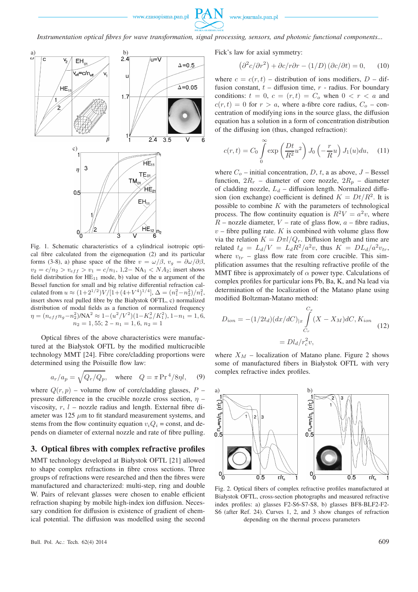

*Instrumentation optical fibres for wave transformation, signal processing, sensors, and photonic functional components...*



Fig. 1. Schematic characteristics of a cylindrical isotropic optical fibre calculated from the eigenequation (2) and its particular forms (3-8), a) phase space of the fibre  $v = \omega/\beta$ ,  $v_q = \partial \omega/\partial \beta$ ,  $v_2 = c/n_2 > v_{eff} > v_1 = c/n_1$ , 1,2– NA<sub>1</sub> < NA<sub>2</sub>; insert shows field distribution for  $HE_{11}$  mode, b) value of the u argument of the Bessel function for small and big relative differential refraction calculated from  $u \approx (1+2^{1/2})V/[1+(4+V^4)^{1/4}], \Delta = (n_1^2-n_2^2)/n_1^2,$ insert shows real pulled fibre by the Białystok OFTL, c) normalized distribution of modal fields as a function of normalized frequency  $\eta = (n_{eff}n_g - n_2^2) / N A^2 \approx 1 - (u^2/V^2)(1 - K_o^2/K_1^2), 1 - n_1 = 1, 6,$  $n_2 = 1, 55; 2 - n_1 = 1, 6, n_2 = 1$ 

Optical fibres of the above characteristics were manufactured at the Białystok OFTL by the modified multicrucible technology MMT [24]. Fibre core/cladding proportions were determined using the Poisuille flow law:

$$
a_r/a_p = \sqrt{Q_r/Q_p}, \quad \text{where} \quad Q = \pi \Pr^4/8\eta l, \quad (9)
$$

where  $Q(r, p)$  – volume flow of core/cladding glasses, P – pressure difference in the crucible nozzle cross section,  $\eta$  – viscosity,  $r$ ,  $l$  – nozzle radius and length. External fibre diameter was  $125 \mu m$  to fit standard measurement systems, and stems from the flow continuity equation  $v_iQ_i$  = const, and depends on diameter of external nozzle and rate of fibre pulling.

#### **3. Optical fibres with complex refractive profiles**

MMT technology developed at Białystok OFTL [21] allowed to shape complex refractions in fibre cross sections. Three groups of refractions were researched and then the fibres were manufactured and characterized: multi-step, ring and double W. Pairs of relevant glasses were chosen to enable efficient refraction shaping by mobile high-index ion diffusion. Necessary condition for diffusion is existence of gradient of chemical potential. The diffusion was modelled using the second

Fick's law for axial symmetry:

$$
\left(\partial^2 c/\partial r^2\right) + \partial c/r \partial r - (1/D)\left(\partial c/\partial t\right) = 0,\qquad(10)
$$

where  $c = c(r, t)$  – distribution of ions modifiers,  $D$  – diffusion constant,  $t$  – diffusion time,  $r$  - radius. For boundary conditions:  $t = 0$ ,  $c = (r, t) = C<sub>o</sub>$  when  $0 < r < a$  and  $c(r, t) = 0$  for  $r > a$ , where a-fibre core radius,  $C<sub>o</sub>$  – concentration of modifying ions in the source glass, the diffusion equation has a solution in a form of concentration distribution of the diffusing ion (thus, changed refraction):

$$
c(r,t) = C_0 \int_0^\infty \exp\left(\frac{Dt}{R^2}u^2\right) J_0\left(-\frac{r}{R}u\right) J_1(u) du, \quad (11)
$$

where  $C_o$  – initial concentration, D, t, a as above,  $J$  – Bessel function,  $2R_r$  – diameter of core nozzle,  $2R_p$  – diameter of cladding nozzle,  $L_d$  – diffusion length. Normalized diffusion (ion exchange) coefficient is defined  $K = Dt/R^2$ . It is possible to combine  $K$  with the parameters of technological process. The flow continuity equation is  $R^2V = a^2v$ , where  $R$  – nozzle diameter,  $V$  – rate of glass flow,  $a$  – fibre radius,  $v$  – fibre pulling rate. K is combined with volume glass flow via the relation  $K = D\pi l/Q_r$ . Diffusion length and time are related  $t_d = L_d/V = L_dR^2/a^2v$ , thus  $K = D L_d/a^2v$ tr, where  $v_{tr}$  – glass flow rate from core crucible. This simplification assumes that the resulting refractive profile of the MMT fibre is approximately of  $\alpha$  power type. Calculations of complex profiles for particular ions Pb, Ba, K, and Na lead via determination of the localization of the Matano plane using modified Boltzman-Matano method:

$$
D_{ion} = -(1/2t_d)(dx/dC)_{|x} \int_{C_r}^{C_x} (X - X_M)dC, K_{ion}
$$
  
=  $Dl_d/r_c^2 v,$  (12)

where  $X_M$  – localization of Matano plane. Figure 2 shows some of manufactured fibers in Białystok OFTL with very complex refractive index profiles.



Fig. 2. Optical fibers of complex refractive profiles manufactured at Białystok OFTL, cross-section photographs and measured refractive index profiles: a) glasses F2-S6-S7-S8, b) glasses BF8-BLF2-F2- S6 (after Ref. 24). Curves 1, 2, and 3 show changes of refraction depending on the thermal process parameters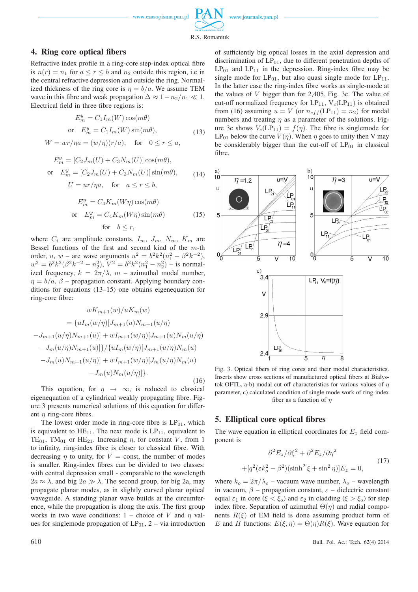

R.S. Romaniuk

## **4. Ring core optical fibers**

Refractive index profile in a ring-core step-index optical fibre is  $n(r) = n_1$  for  $a \le r \le b$  and  $n_2$  outside this region, i.e in the central refractive depression and outside the ring. Normalized thickness of the ring core is  $\eta = b/a$ . We assume TEM wave in this fibre and weak propagation  $\Delta \approx 1-n_2/n_1 \ll 1$ . Electrical field in three fibre regions is:

$$
E_m^y = C_1 I_m(W) \cos(m\theta)
$$
  
or 
$$
E_m^y = C_1 I_m(W) \sin(m\theta),
$$
  

$$
W = wr/\eta a = (w/\eta)(r/a), \text{ for } 0 \le r \le a,
$$
 (13)

$$
E_m^y = [C_2 J_m(U) + C_3 N_m(U)] \cos(m\theta),
$$
  
or 
$$
E_m^y = [C_2 J_m(U) + C_3 N_m(U)] \sin(m\theta),
$$
  

$$
U = \frac{ur}{n\alpha}, \quad \text{for} \quad a \le r \le b,
$$
 (14)

$$
E_m^y = C_4 K_m(W\eta) \cos(m\theta)
$$
  
or 
$$
E_m^y = C_4 K_m(W\eta) \sin(m\theta)
$$
 for 
$$
b \le r,
$$
 (15)

where  $C_i$  are amplitude constants,  $I_m$ ,  $J_m$ ,  $N_m$ ,  $K_m$  are Bessel functions of the first and second kind of the  $m$ -th order, u, w – are wave arguments  $u^2 = b^2 k^2 (n_1^2 - \beta^2 k^{-2})$ ,  $w^2 = b^2 k^2 (\beta^2 k^{-2} - n_2^2), V^2 = b^2 k^2 (n_1^2 - n_2^2)$  – is normalized frequency,  $k = 2\pi/\lambda$ ,  $m$  – azimuthal modal number,  $\eta = b/a$ ,  $\beta$  – propagation constant. Applying boundary conditions for equations (13–15) one obtains eigenequation for ring-core fibre:

$$
wK_{m+1}(w)/uK_m(w)
$$
  
=  $\{uI_m(w/\eta)[J_{m+1}(u)N_{m+1}(u/\eta)$   

$$
-J_{m+1}(u/\eta)N_{m+1}(u)] + wI_{m+1}(w/\eta)[J_{m+1}(u)N_m(u/\eta)
$$
  

$$
-J_m(u/\eta)N_{m+1}(u)]\}/\{uI_m(w/\eta)[J_{m+1}(u/\eta)N_m(u)
$$
  

$$
-J_m(u)N_{m+1}(u/\eta)] + wI_{m+1}(w/\eta)[J_m(u/\eta)N_m(u)
$$
  

$$
-J_m(u)N_m(u/\eta)]\}.
$$
 (16)

This equation, for  $\eta \rightarrow \infty$ , is reduced to classical eigenequation of a cylindrical weakly propagating fibre. Figure 3 presents numerical solutions of this equation for different  $n$  ring-core fibres.

The lowest order mode in ring-core fibre is  $LP<sub>01</sub>$ , which is equivalent to  $HE_{11}$ . The next mode is  $LP_{11}$ , equivalent to TE<sub>01</sub>, TM<sub>01</sub> or HE<sub>21</sub>. Increasing  $\eta$ , for constant V, from 1 to infinity, ring-index fibre is closer to classical fibre. With decreasing  $\eta$  to unity, for  $V =$  const, the number of modes is smaller. Ring-index fibres can be divided to two classes: with central depression small - comparable to the wavelength  $2a \approx \lambda$ , and big  $2a \gg \lambda$ . The second group, for big 2a, may propagate planar modes, as in slightly curved planar optical waveguide. A standing planar wave builds at the circumference, while the propagation is along the axis. The first group works in two wave conditions: 1 – choice of V and  $\eta$  values for singlemode propagation of  $LP_{01}$ , 2 – via introduction of sufficiently big optical losses in the axial depression and discrimination of  $LP_{01}$ , due to different penetration depths of  $LP_{01}$  and  $LP_{11}$  in the depression. Ring-index fibre may be single mode for  $LP_{01}$ , but also quasi single mode for  $LP_{11}$ . In the latter case the ring-index fibre works as single-mode at the values of V bigger than for 2,405, Fig. 3c. The value of cut-off normalized frequency for  $LP_{11}$ ,  $V_c(LP_{11})$  is obtained from (16) assuming  $u = V$  (or  $n_{eff}$ (LP<sub>11</sub>) =  $n_2$ ) for modal numbers and treating  $\eta$  as a parameter of the solutions. Figure 3c shows  $V_c(LP_{11}) = f(\eta)$ . The fibre is singlemode for  $LP_{01}$  below the curve  $V(\eta)$ . When  $\eta$  goes to unity then V may be considerably bigger than the cut-off of  $LP_{01}$  in classical fibre.



Fig. 3. Optical fibers of ring cores and their modal characteristics. Inserts show cross sections of manufactured optical fibers at Białystok OFTL, a-b) modal cut-off characteristics for various values of  $\eta$ parameter, c) calculated condition of single mode work of ring-index fiber as a function of  $\eta$ 

#### **5. Elliptical core optical fibres**

 $+$ 

The wave equation in elliptical coordinates for  $E<sub>z</sub>$  field component is

$$
\partial^2 E_z / \partial \xi^2 + \partial^2 E_z / \partial \eta^2
$$
  
\n
$$
[q^2(\varepsilon k_o^2 - \beta^2)(\sinh^2 \xi + \sin^2 \eta)]E_z = 0,
$$
\n(17)

where  $k_o = 2\pi/\lambda_o$  – vacuum wave number,  $\lambda_o$  – wavelength in vacuum,  $\beta$  – propagation constant,  $\varepsilon$  – dielectric constant equal  $\varepsilon_1$  in core ( $\xi < \xi_o$ ) and  $\varepsilon_2$  in cladding ( $\xi > \xi_o$ ) for step index fibre. Separation of azimuthal  $\Theta(\eta)$  and radial components  $R(\xi)$  of EM field is done assuming product form of E and H functions:  $E(\xi, \eta) = \Theta(\eta)R(\xi)$ . Wave equation for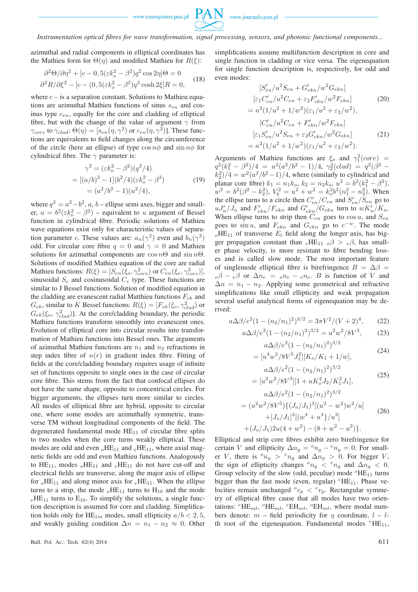

*Instrumentation optical fibres for wave transformation, signal processing, sensors, and photonic functional components...*

azimuthal and radial components in elliptical coordinates has the Mathieu form for  $\Theta(\eta)$  and modified Mathieu for  $R(\xi)$ :

$$
\partial^2 \Theta / \partial \eta^2 + [c - 0, 5(\varepsilon k_o^2 - \beta^2) q^2 \cos 2\eta] \Theta = 0
$$
  

$$
\partial^2 R / \partial \xi^2 - [c - (0, 5(\varepsilon k_o^2 - \beta^2) q^2 \cosh 2\xi] R = 0,
$$
 (18)

where  $c - i$ s a separation constant. Solutions to Mathieu equations are azimuthal Mathieu functions of sinus  $s_{en}$  and cosinus type  $c_{en}$ , equally for the core and cladding of elliptical fibre, but with the change of the value of argument  $\gamma$  from  $\gamma_{core}$  to  $\gamma_{clad}$ :  $\Theta(\eta) = [s_{en}(\eta, \gamma^2)$  or  $c_{en}(\eta, \gamma^2)]$ . These functions are equivalents to field changes along the circumference of the circle (here an ellipse) of type  $\cos n\phi$  and  $\sin n\phi$  for cylindrical fibre. The  $\gamma$  parameter is:

$$
\gamma^2 = (\varepsilon k_o^2 - \beta^2)(q^2/4)
$$
  
= 
$$
[(a/b)^2 - 1](b^2/4)(\varepsilon k_o^2 - \beta^2)
$$
 (19)  
= 
$$
(a^2/b^2 - 1)(u^2/4),
$$

where  $q^2 = a^2-b^2$ ,  $a, b$  – ellipse semi axes, bigger and smaller,  $u = b^2(\varepsilon k_o^2 - \beta^2)$  – equivalent to u argument of Bessel function in cylindrical fibre. Periodic solutions of Mathieu wave equations exist only for characteristic values of separation parameter c. These values are:  $a_n(\gamma^2)$  even and  $b_n(\gamma^2)$ odd. For circular core fibre  $q = 0$  and  $\gamma = 0$  and Mathieu solutions for azimuthal components are  $\cos n\Theta$  and  $\sin n\Theta$ . Solutions of modified Mathieu equation of the core are radial Mathieu functions:  $R(\xi) = [S_{en}(\xi_o, \gamma_{core}^2) \text{ or } C_{en}(\xi_o, \gamma_{core}^2)],$ sinusoidal  $S_e$  and cosinusoidal  $C_e$  type. These functions are similar to J Bessel functions. Solution of modified equation in the cladding are evanescent radial Matthieu functions  $F_{ek}$  and  $G_{ek}$ , similar to K Bessel functions:  $R(\xi) = [F_{ek}(\xi_o, \gamma_{clad}^2)$  or  $G_{ek}(\xi_o, \gamma_{clad}^2)$ ]. At the core/cladding boundary, the periodic Mathieu functions transform smoothly into evanescent ones. Evolution of elliptical core into circular results into transformation of Mathieu functions into Bessel ones. The arguments of azimuthal Mathieu functions are  $n_1$  and  $n_2$  refractions in step index fibre of  $n(r)$  in gradient index fibre. Fitting of fields at the core/cladding boundary requires usage of infinite set of functions opposite to single ones in the case of circular core fibre. This stems from the fact that confocal ellipses do not have the same shape, opposite to concentrical circles. For bigger arguments, the ellipses turn more similar to circles. All modes of elliptical fibre are hybrid, opposite to circular one, where some modes are azimuthally symmetric, transverse TM without longitudinal components of the field. The degenerated fundamental mode  $HE_{11}$  of circular fibre splits to two modes when the core turns weakly elliptical. These modes are odd and even  $_0$ HE<sub>11</sub> and  $_0$ HE<sub>11</sub>, where axial magnetic fields are odd and even Mathieu functions. Analogously to  $HE_{11}$ , modes  $_0HE_{11}$  and  $_0HE_{11}$  do not have cut-off and electrical fields are transverse, along the major axis of ellipse for  $_0$ HE<sub>11</sub> and along minor axis for  $_0$ HE<sub>11</sub>. When the ellipse turns to a strip, the mode  $_0$ HE<sub>11</sub> turns to H<sub>10</sub> and the mode  $_{e}$ HE<sub>11</sub> turns to E<sub>10</sub>. To simplify the solutions, a single function description is assumed for core and cladding. Simplification holds only for  $\text{HE}_{1m}$  modes, small ellipticity  $a/b < 2, 5$ , and weakly guiding condition  $\Delta n = n_1 - n_2 \approx 0$ . Other

simplifications assume multifunction description in core and single function in cladding or vice versa. The eigenequation for single function description is, respectively, for odd and even modes:

$$
[S'_{en}/u^2S_{en} + G'_{ekn}/w^2G_{ekn}]
$$
  
\n
$$
[\varepsilon_1 C'_{en}/u^2C_{en} + \varepsilon_2 F'_{ekn}/w^2 F_{ekn}]
$$
 (20)  
\n
$$
= n^2 (1/u^2 + 1/w^2)(\varepsilon_1/u^2 + \varepsilon_2/w^2),
$$
  
\n
$$
[C'_{en}/u^2C_{en} + F'_{ekn}/w^2 F_{ekn}]
$$
  
\n
$$
[\varepsilon_1 S'_{en}/u^2 S_{en} + \varepsilon_2 G'_{ekn}/w^2 G_{ekn}]
$$
 (21)  
\n
$$
= n^2 (1/u^2 + 1/w^2)(\varepsilon_1/u^2 + \varepsilon_2/w^2).
$$

Arguments of Mathieu functions are  $\xi_o$  and  $\gamma_1^2(core)$  =  $q^2(k_1^2 - \beta^2)/4 = u^2(a^2/b^2 - 1)/4$ ,  $\gamma_2^2(clad) = q^2(\beta^2 (k_2^2)/4 = w^2(a^2/b^2 - 1)/4$ , where (similarly to cylindrical and planar core fibre)  $k_1 = n_1 k_o$ ,  $k_2 = n_2 k_o$ ,  $u^2 = b^2 (k_1^2 - \beta^2)$ ,  $w^2 = b^2(\beta^2 - k_2^2), V_b^2 = u^2 + w^2 = k_o^2b^2(n_1^2 - n_2^2)$ . When the ellipse turns to a circle then  $C'_{en}/C_{en}$  and  $S'_{en}/S_{en}$  go to  $uJ'_n/J_n$  and  $F'_{ekn}/F_{ekn}$  and  $G'_{ekn}/G_{ekn}$  turn to  $wK'_n/K_n$ . When ellipse turns to strip then  $C_{en}$  goes to  $\cos u$ , and  $S_{en}$ goes to  $\sin u$ , and  $F_{ekn}$  and  $G_{ekn}$  go to  $e^{-w}$ . The mode  $_{o}$ HE<sub>11</sub> of transverse  $E_t$  field along the longer axis, has bigger propagation constant than  $e^{\text{HE}_{11}}$   $\phi \beta > e^{\beta}$ , has smaller phase velocity, is more resistant to fibre bending losses and is called slow mode. The most important feature of singlemode elliptical fibre is birefringence  $B = \Delta \beta =$  $\partial_{\rho} \beta - e \beta$  or  $\Delta n_e = \partial_{\rho} n_e - e n_e$ . B is function of V and  $\Delta n = n_1 - n_2$ . Applying some geometrical and refractive simplifications like small ellipticity and weak propagation several useful analytical forms of eigenequation may be derived:

$$
a\Delta\beta/e^2(1-(n_2/n_1)^2)^{3/2} = 3\pi V^2/(V+2)^4, \qquad (22)
$$

$$
a\Delta\beta/e^2(1 - (n_2/n_1)^2)^{3/2} = u^2w^2/8V^3,
$$
 (23)  

$$
a\Delta\beta/e^2(1 - (n_2/n_1)^2)^{3/2}
$$

$$
a\Delta\beta/e^2(1 - (n_2/n_1)^2)^{3/2}
$$
  
= 
$$
[u^4w^3/8V^5J_1^2][K_o/K_1 + 1/w],
$$
 (24)

$$
a\Delta\beta/e^2(1 - (n_2/n_1)^2)^{3/2}
$$
  
= 
$$
[u^2w^2/8V^3][1 + uK_o^2J_2/K_1^2J_1],
$$
 (25)

$$
a\Delta\beta/e^2(1 - (n_2/n_1)^2)^{3/2}
$$
  
=  $(u^2w^2/8V^5)\{(J_o/J_1)^3[(u^2 - w^2)w^2/u] + [J_o/J_1]^2[(w^4 + u^4]/u^2]$   
+ $(J_o/J_1)2u(4 + w^2) - (8 + w^2 - u^2)\}.$  (26)

Elliptical and strip core fibres exhibit zero birefringence for certain V and ellipticity  $\Delta n_g = {}^{\circ}n_g - {}^{\circ}n_g = 0$ . For smaller V, there is  $^{\circ}n_g > ^{\circ}n_g$  and  $\Delta n_g > 0$ . For bigger V, the sign of ellipticity changes  $^{\circ}n_q < ^{\circ}n_q$  and  $\Delta n_q < 0$ . Group velocity of the slow (odd, peculiar) mode  ${}^{0}$ HE<sub>11</sub> turns bigger than the fast mode (even, regular)  ${}^e$ HE<sub>11</sub>. Phase velocities remain unchanged  $v_p < v_p$ . Rectangular symmetry of elliptical fibre cause that all modes have two orientations:  ${}^e\text{HE}_{ml}$ ,  ${}^o\text{HE}_{ml}$ ,  ${}^e\text{EH}_{ml}$ ,  ${}^o\text{EH}_{ml}$ , where modal numbers denote:  $m -$  field periodicity for  $\eta$  coordinate,  $l - l$ th root of the eigenequation. Fundamental modes  ${}^e\text{HE}_{11}$ ,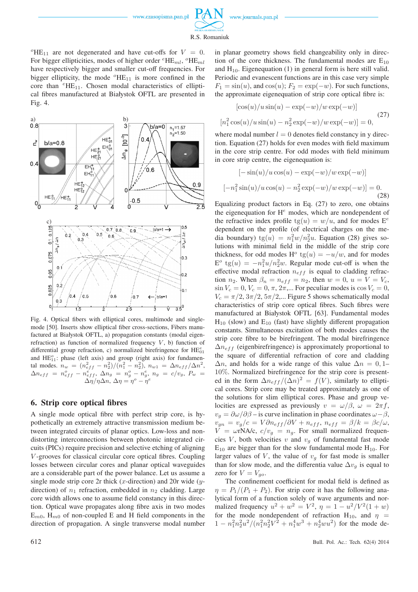www.journals.pan.pl



 $\lceil$ 

 ${}^{\circ}$ HE<sub>11</sub> are not degenerated and have cut-offs for  $V = 0$ . For bigger ellipticities, modes of higher order  ${}^e$ HE<sub>ml</sub>,  ${}^o$ HE<sub>ml</sub> have respectively bigger and smaller cut-off frequencies. For bigger ellipticity, the mode  ${}^{o}$ HE<sub>11</sub> is more confined in the core than  ${}^{e}$ HE<sub>11</sub>. Chosen modal characteristics of elliptical fibres manufactured at Białystok OFTL are presented in Fig. 4.



Fig. 4. Optical fibers with elliptical cores, multimode and singlemode [50]. Inserts show elliptical fiber cross-sections, Fibers manufactured at Białystok OFTL, a) propagation constants (modal eigenrefraction) as function of normalized frequency  $V$ , b) function of differential group refraction, c) normalized birefringence for  $\text{HE}_{01}^e$ and  $HE_{11}^o$ : phase (left axis) and group (right axis) for fundamental modes.  $n_w = (n_{eff}^2 - n_2^2)/(n_1^2 - n_2^2)$ ,  $n_{w1} = \Delta n_{eff} / \Delta n^2$ ,  $\Delta n_{eff}$  =  $n_{eff}^o$  -  $n_{eff}^e$ ,  $\Delta n_g$  =  $n_g^o$  -  $n_g^e$ ,  $n_g$  =  $c/v_g$ ,  $P_w$  =  $\Delta \eta / \eta \Delta n$ ,  $\Delta \eta = \eta^o - \eta^e$ 

### **6. Strip core optical fibres**

A single mode optical fibre with perfect strip core, is hypothetically an extremely attractive transmission medium between integrated circuits of planar optics. Low-loss and nondistorting interconnections between photonic integrated circuits (PICs) require precision and selective etching of aligning V -grooves for classical circular core optical fibres. Coupling losses between circular cores and planar optical waveguides are a considerable part of the power balance. Let us assume a single mode strip core  $2r$  thick (x-direction) and  $20r$  wide (ydirection) of  $n_1$  refraction, embedded in  $n_2$  cladding. Large core width allows one to assume field constancy in this direction. Optical wave propagates along fibre axis in two modes  $E_{m0}$ ,  $H_{m0}$  of non-coupled E and H field components in the direction of propagation. A single transverse modal number in planar geometry shows field changeability only in direction of the core thickness. The fundamental modes are  $E_{10}$ and  $H_{10}$ . Eigenequation (1) in general form is here still valid. Periodic and evanescent functions are in this case very simple  $F_1 = sin(u)$ , and  $cos(u)$ ;  $F_2 = exp(-w)$ . For such functions, the approximate eigenequation of strip core optical fibre is:

$$
[\cos(u)/u\sin(u) - \exp(-w)/w\exp(-w)]
$$
  

$$
[n_1^2\cos(u)/u\sin(u) - n_2^2\exp(-w)/w\exp(-w)] = 0,
$$
 (27)

where modal number  $l = 0$  denotes field constancy in y direction. Equation (27) holds for even modes with field maximum in the core strip centre. For odd modes with field minimum in core strip centre, the eigenequation is:

$$
[-\sin(u)/u\cos(u) - \exp(-w)/w\exp(-w)]
$$

$$
-n_1^2\sin(u)/u\cos(u) - n_2^2\exp(-w)/w\exp(-w)] = 0.
$$
 (28)

Equalizing product factors in Eq. (27) to zero, one obtains the eigenequation for  $H^e$  modes, which are nondependent of the refractive index profile  $te(u) = w/u$ , and for modes  $E^e$ dependent on the profile (of electrical charges on the media boundary)  $tg(u) = n_1^2 w/n_2^2 u$ . Equation (28) gives solutions with minimal field in the middle of the strip core thickness, for odd modes H<sup>o</sup> tg(u) =  $-u/w$ , and for modes  $E^o$  tg $(u) = -n_1^2 u/n_2^2 w$ . Regular mode cut-off is when the effective modal refraction  $n_{eff}$  is equal to cladding refraction  $n_2$ . When  $\beta_n = n_{eff} = n_2$ , then  $w = 0$ ,  $u = V = V_c$ ,  $\sin V_c = 0$ ,  $V_c = 0$ ,  $\pi$ ,  $2\pi$ ,... For peculiar modes is  $\cos V_c = 0$ ,  $V_c = \pi/2, 3\pi/2, 5\pi/2,...$  Figure 5 shows schematically modal characteristics of strip core optical fibres. Such fibres were manufactured at Białystok OFTL [63]. Fundamental modes  $H_{10}$  (slow) and  $E_{10}$  (fast) have slightly different propagation constants. Simultaneous excitation of both modes causes the strip core fibre to be birefringent. The modal birefringence  $\Delta n_{eff}$  (eigenbirefringence) is approximately proportional to the square of differential refraction of core and cladding  $\Delta n$ , and holds for a wide range of this value  $\Delta n = 0, 1$ – 10%. Normalized birefringence for the strip core is presented in the form  $\Delta n_{eff} / (\Delta n)^2 = f(V)$ , similarly to elliptical cores. Strip core may be treated approximately as one of the solutions for slim elliptical cores. Phase and group velocities are expressed as previously  $v = \omega/\beta$ ,  $\omega = 2\pi f$ ,  $v_q = \partial \omega / \partial \beta$  – is curve inclination in phase coordinates  $\omega - \beta$ ,  $v_{gn} = v_g/c = V \partial n_{eff} / \partial V + n_{eff}, n_{eff} = \beta/k = \beta c/\omega,$  $V = \omega rN A/c$ ,  $c/v_g = n_g$ . For small normalized frequencies V, both velocities v and  $v_q$  of fundamental fast mode  $E_{10}$  are bigger than for the slow fundamental mode  $H_{10}$ . For larger values of V, the value of  $v<sub>g</sub>$  for fast mode is smaller than for slow mode, and the differentia value  $\Delta v_g$  is equal to zero for  $V = V_{qo}$ .

The confinement coefficient for modal field is defined as  $\eta = P_1/(P_1 + P_2)$ . For strip core it has the following analytical form of a function solely of wave arguments and normalized frequency  $u^2 + w^2 = V^2$ ,  $\eta = 1 - \frac{u^2}{V^2(1+w)}$ for the mode nondependent of refraction H<sub>10</sub>, and  $\eta$  =  $1 - n_1^2 n_2^2 u^2/(n_1^2 n_2^2 V^2 + n_1^4 w^3 + n_2^4 w u^2)$  for the mode de-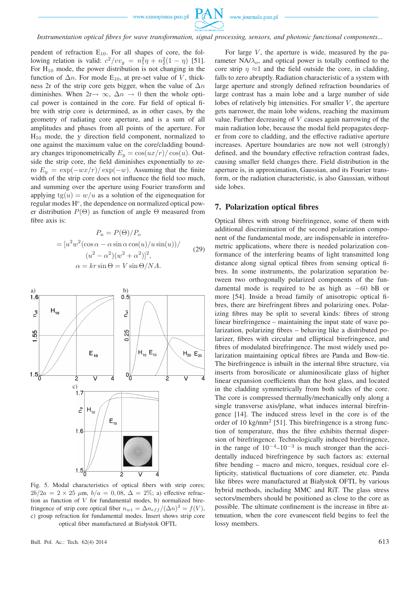

*Instrumentation optical fibres for wave transformation, signal processing, sensors, and photonic functional components...*

pendent of refraction  $E_{10}$ . For all shapes of core, the following relation is valid:  $c^2/vv_g = n_1^2\eta + n_2^2(1 - \eta)$  [51]. For  $H_{10}$  mode, the power distribution is not changing in the function of  $\Delta n$ . For mode E<sub>10</sub>, at pre-set value of V, thickness 2r of the strip core gets bigger, when the value of  $\Delta n$ diminishes. When  $2r \rightarrow \infty$ ,  $\Delta n \rightarrow 0$  then the whole optical power is contained in the core. Far field of optical fibre with strip core is determined, as in other cases, by the geometry of radiating core aperture, and is a sum of all amplitudes and phases from all points of the aperture. For  $H_{10}$  mode, the y direction field component, normalized to one against the maximum value on the core/cladding boundary changes trigonometrically  $E_y = \cos(ux/r)/\cos(u)$ . Outside the strip core, the field diminishes exponentially to zero  $E_y = \exp(-wx/r)/\exp(-w)$ . Assuming that the finite width of the strip core does not influence the field too much, and summing over the aperture using Fourier transform and applying  $tg(u) = w/u$  as a solution of the eigenequation for regular modes  $H^e$ , the dependence on normalized optical power distribution  $P(\Theta)$  as function of angle  $\Theta$  measured from fibre axis is:

$$
P_n = P(\Theta)/P_o
$$
  
=  $[u^2w^2(\cos\alpha - \alpha\sin\alpha\cos(u)/u\sin(u))/$   
 $(u^2 - \alpha^2)(w^2 + \alpha^2)]^2,$   
 $\alpha = kr\sin\Theta = V\sin\Theta/NA.$  (29)



Fig. 5. Modal characteristics of optical fibers with strip cores;  $2b/2a = 2 \times 25 \mu m$ ,  $b/a = 0,08$ ,  $\Delta = 2\%$ ; a) effective refraction as function of  $V$  for fundamental modes, b) normalized birefringence of strip core optical fiber  $n_{w1} = \Delta n_{eff} / (\Delta n)^2 = f(V)$ , c) group refraction for fundamental modes. Insert shows strip core optical fiber manufactured at Białystok OFTL

For large  $V$ , the aperture is wide, measured by the parameter  $NA/\lambda_o$ , and optical power is totally confined to the core strip  $\eta \approx 1$  and the field outside the core, in cladding, falls to zero abruptly. Radiation characteristic of a system with large aperture and strongly defined refraction boundaries of large contrast has a main lobe and a large number of side lobes of relatively big intensities. For smaller  $V$ , the aperture gets narrower, the main lobe widens, reaching the maximum value. Further decreasing of  $V$  causes again narrowing of the main radiation lobe, because the modal field propagates deeper from core to cladding, and the effective radiative aperture increases. Aperture boundaries are now not well (strongly) defined, and the boundary effective refraction contrast fades, causing smaller field changes there. Field distribution in the aperture is, in approximation, Gaussian, and its Fourier transform, or the radiation characteristic, is also Gaussian, without side lobes.

#### **7. Polarization optical fibres**

Optical fibres with strong birefringence, some of them with additional discrimination of the second polarization component of the fundamental mode, are indispensable in interefrometric applications, where there is needed polarization conformance of the interfering beams of light transmitted long distance along signal optical fibres from sensing optical fibres. In some instruments, the polarization separation between two orthogonally polarized components of the fundamental mode is required to be as high as −60 bB or more [54]. Inside a broad family of anisotropic optical fibres, there are birefringent fibres and polarizing ones. Polarizing fibres may be split to several kinds: fibres of strong linear birefringence – maintaining the input state of wave polarization, polarizing fibres – behaving like a distributed polarizer, fibres with circular and elliptical birefringence, and fibres of modulated birefringence. The most widely used polarization maintaining optical fibres are Panda and Bow-tie. The birefringence is inbuilt in the internal fibre structure, via inserts from borosilicate or aluminosilicate glass of higher linear expansion coefficients than the host glass, and located in the cladding symmetrically from both sides of the core. The core is compressed thermally/mechanically only along a single transverse axis/plane, what induces internal birefringence [14]. The induced stress level in the core is of the order of 10 kg/mm<sup>2</sup> [51]. This birefringence is a strong function of temperature, thus the fibre exhibits thermal dispersion of birefringence. Technologically induced birefringence, in the range of  $10^{-4}$ – $10^{-3}$  is much stronger than the accidentally induced birefringence by such factors as: external fibre bending – macro and micro, torques, residual core ellipticity, statistical fluctuations of core diameter, etc. Panda like fibres were manufactured at Białystok OFTL by various hybrid methods, including MMC and RiT. The glass stress sectors/members should be positioned as close to the core as possible. The ultimate confinement is the increase in fibre attenuation, when the core evanescent field begins to feel the lossy members.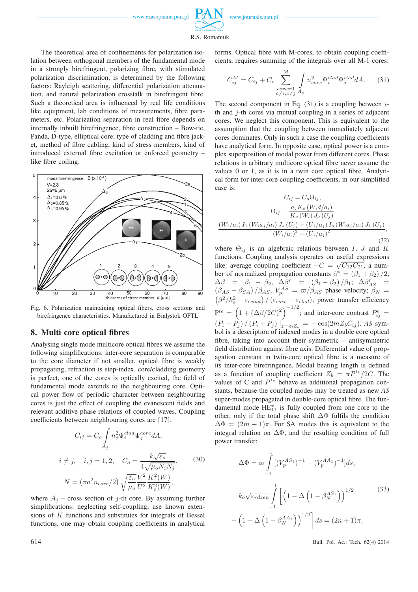

R.S. Romaniuk

The theoretical area of confinements for polarization isolation between orthogonal members of the fundamental mode in a strongly birefringent, polarizing fibre, with stimulated polarization discrimination, is determined by the following factors: Rayleigh scattering, differential polarization attenuation, and natural polarization crosstalk in birefringent fibre. Such a theoretical area is influenced by real life conditions like equipment, lab conditions of measurements, fibre parameters, etc. Polarization separation in real fibre depends on internally inbuilt birefringence, fibre construction – Bow-tie, Panda, D-type, elliptical core; type of cladding and fibre jacket, method of fibre cabling, kind of stress members, kind of introduced external fibre excitation or enforced geometry – like fibre coiling.



Fig. 6. Polarization maintaining optical fibers, cross sections and birefringence characteristics. Manufactured in Białystok OFTL

#### **8. Multi core optical fibres**

Analysing single mode multicore optical fibres we assume the following simplifications: inter-core separation is comparable to the core diameter if not smaller, optical fibre is weakly propagating, refraction is step-index, core/cladding geometry is perfect, one of the cores is optically excited, the field of fundamental mode extends to the neighbouring core. Optical power flow of periodic character between neighbouring cores is just the effect of coupling the evanescent fields and relevant additive phase relations of coupled waves. Coupling coefficients between neighbouring cores are [17]:

$$
C_{ij} = C_o \int n_j^2 \Psi_i^{clad} \Psi_j^{core} dA,
$$
  
\n
$$
i \neq j, \quad i, j = 1, 2, \quad C_o = \frac{k\sqrt{\varepsilon_o}}{4\sqrt{\mu_o N_i N_j}},
$$
  
\n
$$
N = (\pi a^2 n_{core}/2) \sqrt{\frac{\varepsilon_o}{\mu_o}} \frac{V^2}{U^2} \frac{K_1^2(W)}{K_o^2(W)},
$$
\n(30)

where  $A_i$  – cross section of j-th core. By assuming further simplifications: neglecting self-coupling, use known extensions of  $K$  functions and substitutes for integrals of Bessel functions, one may obtain coupling coefficients in analytical forms. Optical fibre with M-cores, to obtain coupling coefficients, requires summing of the integrals over all M-1 cores:

$$
C_{ij}^M = C_{ij} + C_o \sum_{\substack{core=1\\c \neq i, c \neq j}}^M \int_{A_c} n_{core}^2 \Psi_i^{clad} \Psi_j^{clad} dA.
$$
 (31)

The second component in Eq.  $(31)$  is a coupling between *i*th and  $i$ -th cores via mutual coupling in a series of adjacent cores. We neglect this component. This is equivalent to the assumption that the coupling between immediately adjacent cores dominates. Only in such a case the coupling coefficients have analytical form. In opposite case, optical power is a complex superposition of modal power from different cores. Phase relations in arbitrary multicore optical fibre never assume the values 0 or 1, as it is in a twin core optical fibre. Analytical form for inter-core coupling coefficients, in our simplified case is:

$$
C_{ij} = C_o \Theta_{ij},
$$
  
\n
$$
\Theta_{ij} = \frac{a_j K_o (W_i d/a_i)}{K_o (W_i) J_o (U_j)}
$$
  
\n
$$
\frac{(W_i/a_i) I_1 (W_i a_j/a_i) J_o (U_j) + (U_j/a_j) I_o (W_i a_j/a_i) J_1 (U_j)}{(W_i/a_i)^2 + (U_j/a_j)^2},
$$
\n(32)

where  $\Theta_{ij}$  is an algebraic relations between I, J and K functions. Coupling analysis operates on useful expressions like: average coupling coefficient  $-C = \sqrt{C_{12}C_{21}}$ , a number of normalized propagation constants  $\beta^s = (\beta_1 + \beta_2)/2$ ,  $\Delta \beta = \beta_1 - \beta_2$ ,  $\Delta \beta^r = (\beta_1 - \beta_2) / \beta_1$ ;  $\Delta \beta^r_{AS}$  =  $(\beta_{AS} - \beta_{SA})/\beta_{AS}$ ,  $V_p^{AS} = \frac{\varpi}{\beta_{AS}}$  phase velocity;  $\beta_N =$  $(\beta^2/k_o^2 - \varepsilon_{cclad}) / (\varepsilon_{core} - \varepsilon_{clad})$ ; power transfer efficiency  $P^{te} = (1 + (\Delta \beta/2C)^2)^{-1/2}$ ; and inter-core contrast  $P_{ij}^c =$  $(P_i - P_j) / (P_i + P_j) |_{z=mZ_b} = -\cos(2mZ_bC_{ij})$ . *AS* symbol is a description of indexed modes in a double core optical fibre, taking into account their symmetric – antisymmetric field distribution against fibre axis. Differential value of propagation constant in twin-core optical fibre is a measure of its inter-core birefringence. Modal beating length is defined as a function of coupling coefficient  $Z_b = \pi P^{te}/2C$ . The values of C and  $P^{te}$  behave as additional propagation constants, because the coupled modes may be treated as new *AS* super-modes propagated in double-core optical fibre. The fundamental mode  $HE_{11}^x$  is fully coupled from one core to the other, only if the total phase shift  $\Delta\Phi$  fulfils the condition  $\Delta \Phi = (2m + 1)\pi$ . For SA modes this is equivalent to the integral relation on  $\Delta\Phi$ , and the resulting condition of full power transfer:

$$
\Delta \Phi = \varpi \int_{-1}^{1} [(V_p^{AS_1})^{-1} - (V_p^{AA_1})^{-1}] ds,
$$
  
\n
$$
k_o \sqrt{\varepsilon_{rdzen}} \int_{-1}^{1} \left[ \left( 1 - \Delta \left( 1 - \beta_N^{AS_1} \right) \right)^{1/2} - \left( 1 - \Delta \left( 1 - \beta_N^{AA_1} \right) \right)^{1/2} \right] ds = (2n + 1)\pi,
$$
\n(33)

614 Bull. Pol. Ac.: Tech. 62(4) 2014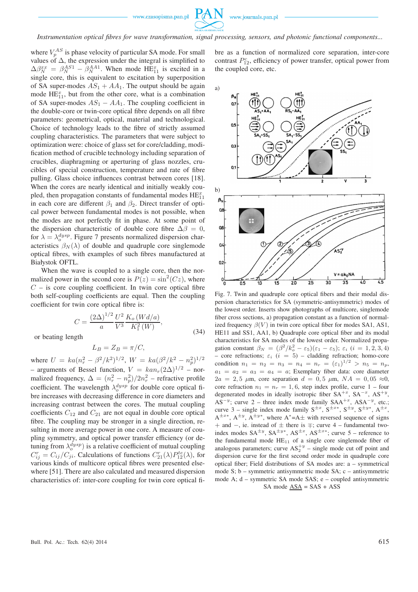![](_page_8_Picture_1.jpeg)

*Instrumentation optical fibres for wave transformation, signal processing, sensors, and photonic functional components...*

where  $V_p^{AS}$  is phase velocity of particular SA mode. For small values of  $\Delta$ , the expression under the integral is simplified to  $\Delta \beta_N^{xx} = \beta_N^{AS1} - \beta_N^{AA1}$ . When mode HE<sub>11</sub> is excited in a single core, this is equivalent to excitation by superposition of SA super-modes  $AS_1 + AA_1$ . The output should be again mode  $\text{HE}_{11}^x$ , but from the other core, what is a combination of SA super-modes  $AS_1 - AA_1$ . The coupling coefficient in the double-core or twin-core optical fibre depends on all fibre parameters: geometrical, optical, material and technological. Choice of technology leads to the fibre of strictly assumed coupling characteristics. The parameters that were subject to optimization were: choice of glass set for core/cladding, modification method of crucible technology including separation of crucibles, diaphragming or aperturing of glass nozzles, crucibles of special construction, temperature and rate of fibre pulling. Glass choice influences contrast between cores [18]. When the cores are nearly identical and initially weakly coupled, then propagation constants of fundamental modes  $HE_{11}^x$ in each core are different  $\beta_1$  and  $\beta_2$ . Direct transfer of optical power between fundamental modes is not possible, when the modes are not perfectly fit in phase. At some point of the dispersion characteristic of double core fibre  $\Delta\beta = 0$ . for  $\lambda = \lambda_0^{dysp}$ . Figure 7 presents normalized dispersion characteristics  $\beta_N(\lambda)$  of double and quadruple core singlemode optical fibres, with examples of such fibres manufactured at Białystok OFTL.

When the wave is coupled to a single core, then the normalized power in the second core is  $P(z) = \sin^2(Cz)$ , where  $C$  – is core coupling coefficient. In twin core optical fibre both self-coupling coefficients are equal. Then the coupling coefficient for twin core optical fibre is:

$$
C = \frac{(2\Delta)^{1/2}}{a} \frac{U^2}{V^3} \frac{K_o (Wd/a)}{K_1^2 (W)},
$$
\n(34)

or beating length

$$
L_B = Z_B = \pi / C,
$$

where  $U = ka(n_r^2 - \beta^2/k^2)^{1/2}$ ,  $W = ka(\beta^2/k^2 - n_p^2)^{1/2}$ – arguments of Bessel function,  $V = k a n_r (2\Delta)^{1/2}$  – normalized frequency,  $\Delta = (n_r^2 - n_p^2)/2n_r^2$  – refractive profile coefficient. The wavelength  $\lambda_0^{dysp}$  for double core optical fibre increases with decreasing difference in core diameters and increasing contrast between the cores. The mutual coupling coefficients  $C_{12}$  and  $C_{21}$  are not equal in double core optical fibre. The coupling may be stronger in a single direction, resulting in more average power in one core. A measure of coupling symmetry, and optical power transfer efficiency (or detuning from  $\lambda_o^{dysp}$ ) is a relative coefficient of mutual coupling  $C_{ij}^r = C_{ij}/C_{ji}$ . Calculations of functions  $C_{21}^r(\lambda)P_{12}^{te}(\lambda)$ , for various kinds of multicore optical fibres were presented elsewhere [51]. There are also calculated and measured dispersion characteristics of: inter-core coupling for twin core optical fibre as a function of normalized core separation, inter-core contrast  $P_{12}^c$ , efficiency of power transfer, optical power from the coupled core, etc.

![](_page_8_Figure_10.jpeg)

Fig. 7. Twin and quadruple core optical fibers and their modal dispersion characteristics for SA (symmetric-antisymmetric) modes of the lowest order. Inserts show photographs of multicore, singlemode fiber cross sections, a) propagation constant as a function of normalized frequency  $\beta(V)$  in twin core optical fiber for modes SA1, AS1, HE11 and SS1, AA1, b) Quadruple core optical fiber and its modal characteristics for SA modes of the lowest order. Normalized propagation constant  $\beta_N = (\beta^2/k_o^2 - \varepsilon_5)(\varepsilon_1 - \varepsilon_5)$ ;  $\varepsilon_i$  (i = 1, 2, 3, 4) – core refractions;  $\varepsilon_i$  ( $i = 5$ ) – cladding refraction; homo-core condition  $n_1 = n_2 = n_3 = n_4 = n_r = (\varepsilon_1)^{1/2} > n_5 = n_p$ ,  $a_1 = a_2 = a_3 = a_4 = a$ ; Exemplary fiber data: core diameter  $2a = 2.5 \mu \text{m}$ , core separation  $d = 0.5 \mu \text{m}$ ,  $NA = 0.05 \approx 0$ , core refraction  $n_1 = n_r = 1, 6$ , step index profile, curve 1 – four degenerated modes in ideally isotropic fiber  $SA^{+x}$ ,  $SA^{-x}$ ,  $AS^{+y}$ ,  $AS^{-y}$ ; curve 2 – three index mode family  $SAA^{+x}$ ,  $ASA^{-y}$ , etc.; curve 3 – single index mode family  $S^{\pm x}$ ,  $S^{\pm x}$ ,  $S^{\pm y}$ ,  $S^{\pm y}$ ,  $A^{\pm x}$ ,  $A^{\pm x*}$ ,  $A^{\pm y}$ ,  $A^{\pm y*}$ , where  $A^*$ = $A\pm$  with reversed sequence of signs + and  $-$ , ie. instead of  $\pm$  there is  $\mp$ ; curve 4 – fundamental twoindex modes  $SA^{\pm y}$ ,  $SA^{\pm y*}$ ,  $AS^{\pm x}$ ,  $AS^{\pm x*}$ ; curve 5 – reference to the fundamental mode  $HE_{11}$  of a single core singlemode fiber of analogous parameters; curve  $AS_2^{+y}$  – single mode cut off point and dispersion curve for the first second order mode in quadruple core optical fiber; Field distributions of SA modes are: a – symmetrical mode S; b – symmetric antisymmetric mode SA; c – antisymmetric mode A; d – symmetric SA mode SAS; e – coupled antisymmetric SA mode  $\overline{ASA} = SAS + ASS$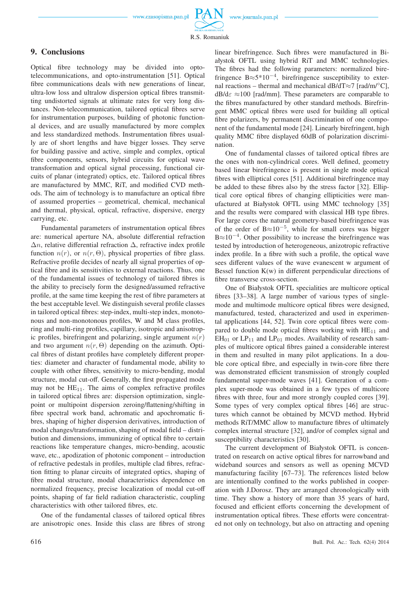www.journals.pan.pl

![](_page_9_Picture_2.jpeg)

## **9. Conclusions**

Optical fibre technology may be divided into optotelecommunications, and opto-instrumentation [51]. Optical fibre communications deals with new generations of linear, ultra-low loss and ultralow dispersion optical fibres transmitting undistorted signals at ultimate rates for very long distances. Non-telecommunication, tailored optical fibres serve for instrumentation purposes, building of photonic functional devices, and are usually manufactured by more complex and less standardized methods. Instrumentation fibres usually are of short lengths and have bigger losses. They serve for building passive and active, simple and complex, optical fibre components, sensors, hybrid circuits for optical wave transformation and optical signal processing, functional circuits of planar (integrated) optics, etc. Tailored optical fibres are manufactured by MMC, RiT, and modified CVD methods. The aim of technology is to manufacture an optical fibre of assumed properties – geometrical, chemical, mechanical and thermal, physical, optical, refractive, dispersive, energy carrying, etc.

Fundamental parameters of instrumentation optical fibres are: numerical aperture NA, absolute differential refraction  $\Delta n$ , relative differential refraction  $\Delta$ , refractive index profile function  $n(r)$ , or  $n(r, \Theta)$ , physical properties of fibre glass. Refractive profile decides of nearly all signal properties of optical fibre and its sensitivities to external reactions. Thus, one of the fundamental issues of technology of tailored fibres is the ability to precisely form the designed/assumed refractive profile, at the same time keeping the rest of fibre parameters at the best acceptable level. We distinguish several profile classes in tailored optical fibres: step-index, multi-step index, monotonous and non-monotonous profiles, W and M class profiles, ring and multi-ring profiles, capillary, isotropic and anisotropic profiles, birefringent and polarizing, single argument  $n(r)$ and two argument  $n(r, \Theta)$  depending on the azimuth. Optical fibres of distant profiles have completely different properties: diameter and character of fundamental mode, ability to couple with other fibres, sensitivity to micro-bending, modal structure, modal cut-off. Generally, the first propagated mode may not be  $HE_{11}$ . The aims of complex refractive profiles in tailored optical fibres are: dispersion optimization, singlepoint or multipoint dispersion zeroing/flattening/shifting in fibre spectral work band, achromatic and apochromatic fibres, shaping of higher dispersion derivatives, introduction of modal changes/transformation, shaping of modal field – distribution and dimensions, immunizing of optical fibre to certain reactions like temperature changes, micro-bending, acoustic wave, etc., apodization of photonic component – introduction of refractive pedestals in profiles, multiple clad fibres, refraction fitting to planar circuits of integrated optics, shaping of fibre modal structure, modal characteristics dependence on normalized frequency, precise localization of modal cut-off points, shaping of far field radiation characteristic, coupling characteristics with other tailored fibres, etc.

One of the fundamental classes of tailored optical fibres are anisotropic ones. Inside this class are fibres of strong

linear birefringence. Such fibres were manufactured in Białystok OFTL using hybrid RiT and MMC technologies. The fibres had the following parameters: normalized birefringence B $\approx$ 5\*10<sup>-4</sup>, birefringence susceptibility to external reactions – thermal and mechanical dB/dT≈7 [rad/m/ $\textdegree$ C],  $dB/d\varepsilon \approx 100$  [rad/mm]. These parameters are comparable to the fibres manufactured by other standard methods. Birefringent MMC optical fibres were used for building all optical fibre polarizers, by permanent discrimination of one component of the fundamental mode [24]. Linearly birefringent, high quality MMC fibre displayed 60dB of polarization discrimination.

One of fundamental classes of tailored optical fibres are the ones with non-cylindrical cores. Well defined, geometry based linear birefringence is present in single mode optical fibres with elliptical cores [51]. Additional birefringence may be added to these fibres also by the stress factor [32]. Elliptical core optical fibres of changing ellipticities were manufactured at Białystok OFTL using MMC technology [35] and the results were compared with classical HB type fibres. For large cores the natural geometry-based birefringence was of the order of B $\approx$ 10<sup>-5</sup>, while for small cores was bigger  $B \approx 10^{-4}$ . Other possibility to increase the birefringence was tested by introduction of heterogeneous, anizotropic refractive index profile. In a fibre with such a profile, the optical wave sees different values of the wave evanescent w argument of Bessel function  $K(w)$  in different perpendicular directions of fibre transverse cross-section.

One of Białystok OFTL specialities are multicore optical fibres [33–38]. A large number of various types of singlemode and multimode multicore optical fibres were designed, manufactured, tested, characterized and used in experimental applications [44, 52]. Twin core optical fibres were compared to double mode optical fibres working with  $HE_{11}$  and  $EH_{01}$  or  $LP_{11}$  and  $LP_{01}$  modes. Availability of research samples of multicore optical fibres gained a considerable interest in them and resulted in many pilot applications. In a double core optical fibre, and especially in twin-core fibre there was demonstrated efficient transmission of strongly coupled fundamental super-mode waves [41]. Generation of a complex super-mode was obtained in a few types of multicore fibres with three, four and more strongly coupled cores [39]. Some types of very complex optical fibres [46] are structures which cannot be obtained by MCVD method. Hybrid methods RiT/MMC allow to manufacture fibres of ultimately complex internal structure [32], and/or of complex signal and susceptibility characteristics [30].

The current development of Białystok OFTL is concentrated on research on active optical fibres for narrowband and wideband sources and sensors as well as opening MCVD manufacturing facility [67–73]. The references listed below are intentionally confined to the works published in cooperation with J.Dorosz. They are arranged chronologically with time. They show a history of more than 35 years of hard, focused and efficient efforts concerning the development of instrumentation optical fibres. These efforts were concentrated not only on technology, but also on attracting and opening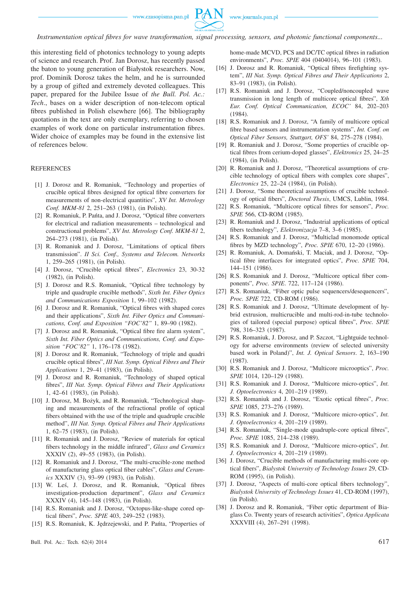![](_page_10_Picture_1.jpeg)

*Instrumentation optical fibres for wave transformation, signal processing, sensors, and photonic functional components...*

this interesting field of photonics technology to young adepts of science and research. Prof. Jan Dorosz, has recently passed the baton to young generation of Białystok researchers. Now, prof. Dominik Dorosz takes the helm, and he is surrounded by a group of gifted and extremely devoted colleagues. This paper, prepared for the Jubilee Issue of *the Bull. Pol. Ac.: Tech*., bases on a wider description of non-telecom optical fibres published in Polish elsewhere [66]. The bibliography quotations in the text are only exemplary, referring to chosen examples of work done on particular instrumentation fibres. Wider choice of examples may be found in the extensive list of references below.

#### **REFERENCES**

- [1] J. Dorosz and R. Romaniuk, "Technology and properties of crucible optical fibres designed for optical fibre converters for measurements of non-electrical quantities", *XV Int. Metrology Conf. MKM-81* 2, 251–263 (1981), (in Polish).
- [2] R. Romaniuk, P. Pańta, and J. Dorosz, "Optical fibre converters for electrical and radiation measurements – technological and constructional problems", *XV Int. Metrology Conf. MKM-81* 2, 264–273 (1981), (in Polish).
- [3] R. Romaniuk and J. Dorosz, "Limitations of optical fibers transmission". *II Sci. Conf., Systems and Telecom. Networks* 1, 259–265 (1981), (in Polish).
- [4] J. Dorosz, "Crucible optical fibres", *Electronics* 23, 30-32 (1982), (in Polish).
- [5] J. Dorosz and R.S. Romaniuk, "Optical fibre technology by triple and quadruple crucible methods", *Sixth Int. Fiber Optics and Communications Exposition* 1, 99–102 (1982).
- [6] J. Dorosz and R. Romaniuk, "Optical fibres with shaped cores and their applications", *Sixth Int. Fiber Optics and Communications, Conf. and Exposition "FOC'82"* 1, 89–90 (1982).
- [7] J. Dorosz and R. Romaniuk, "Optical fibre fire alarm system", *Sixth Int. Fiber Optics and Communications, Conf. and Exposition "FOC'82"* 1, 176–178 (1982).
- [8] J. Dorosz and R. Romaniuk, "Technology of triple and quadri crucible optical fibres", *III Nat. Symp. Optical Fibres and Their Applications* 1, 29–41 (1983), (in Polish).
- [9] J. Dorosz and R. Romaniuk, "Technology of shaped optical fibres", *III Nat. Symp. Optical Fibres and Their Applications* 1, 42–61 (1983), (in Polish).
- [10] J. Dorosz, M. Bożyk, and R. Romaniuk, "Technological shaping and measurements of the refractional profile of optical fibers obtained with the use of the triple and quadruple crucible method", *III Nat. Symp. Optical Fibres and Their Applications* 1, 62–75 (1983), (in Polish).
- [11] R. Romaniuk and J. Dorosz, "Review of materials for optical fibers technology in the middle infrared", *Glass and Ceramics* XXXIV (2), 49–55 (1983), (in Polish).
- [12] R. Romaniuk and J. Dorosz, "The multi-crucible-zone method of manufacturing glass optical fiber cables", *Glass and Ceramics* XXXIV (3), 93–99 (1983), (in Polish).
- [13] W. Leś, J. Dorosz, and R. Romaniuk, "Optical fibres investigation-production department", *Glass and Ceramics* XXXIV (4), 145–148 (1983), (in Polish).
- [14] R.S. Romaniuk and J. Dorosz, "Octopus-like-shape cored optical fibers", *Proc. SPIE* 403, 249–252 (1983).
- [15] R.S. Romaniuk, K. Jędrzejewski, and P. Pańta, "Properties of

Bull. Pol. Ac.: Tech. 62(4) 2014 617

home-made MCVD, PCS and DC/TC optical fibres in radiation environments", *Proc. SPIE* 404 (0404014), 96–101 (1983).

- [16] J. Dorosz and R. Romaniuk, "Optical fibres firefighting system", *III Nat. Symp. Optical Fibres and Their Applications* 2, 83–91 (1983), (in Polish).
- [17] R.S. Romaniuk and J. Dorosz, "Coupled/noncoupled wave transmission in long length of multicore optical fibres", *Xth Eur. Conf. Optical Communication, ECOC'* 84, 202–203 (1984).
- [18] R.S. Romaniuk and J. Dorosz, "A family of multicore optical fibre based sensors and instrumentation systems", *Int. Conf. on Optical Fiber Sensors, Stuttgart, OFS'* 84, 275–278 (1984).
- [19] R. Romaniuk and J. Dorosz, "Some properties of crucible optical fibres from cerium-doped glasses", *Elektronics* 25, 24–25 (1984), (in Polish).
- [20] R. Romaniuk and J. Dorosz, "Theoretical assumptions of crucible technology of optical fibers with complex core shapes", *Electronics* 25, 22–24 (1984), (in Polish).
- [21] J. Dorosz, "Some theoretical assumptions of crucible technology of optical fibers", *Doctoral Thesis*, UMCS, Lublin, 1984.
- [22] R.S. Romaniuk, "Multicore optical fibres for sensors", *Proc. SPIE* 566, CD-ROM (1985).
- [23] R. Romaniuk and J. Dorosz, "Industrial applications of optical fibers technology", *Elektronizacja* 7–8, 3–6 (1985).
- [24] R.S. Romaniuk and J. Dorosz, "Multiclad monomode optical fibres by MZD technology", *Proc. SPIE* 670, 12–20 (1986).
- [25] R. Romaniuk, A. Domański, T. Maciak, and J. Dorosz, "Optical fibre interfaces for integrated optics", *Proc. SPIE* 704, 144–151 (1986).
- [26] R.S. Romaniuk and J. Dorosz, "Multicore optical fiber components", *Proc. SPIE*. 722, 117–124 (1986).
- [27] R.S. Romaniuk, "Fiber optic pulse sequencers/desequencers", *Proc. SPIE* 722, CD-ROM (1986).
- [28] R.S. Romaniuk and J. Dorosz, "Ultimate development of hybrid extrusion, multicrucible and multi-rod-in-tube technologies of tailored (special purpose) optical fibres", *Proc. SPIE* 798, 316–323 (1987).
- [29] R.S. Romaniuk, J. Dorosz, and P. Szczot, "Lightguide technology for adverse environments (review of selected university based work in Poland)", *Int. J. Optical Sensors*. 2, 163–190 (1987).
- [30] R.S. Romaniuk and J. Dorosz, "Multicore microoptics", *Proc. SPIE* 1014, 120–129 (1988).
- [31] R.S. Romaniuk and J. Dorosz, "Multicore micro-optics", *Int. J. Optoelectronics* 4, 201–219 (1989).
- [32] R.S. Romaniuk and J. Dorosz, "Exotic optical fibres", *Proc. SPIE* 1085, 273–276 (1989).
- [33] R.S. Romaniuk and J. Dorosz, "Multicore micro-optics", *Int. J. Optoelectronics* 4, 201–219 (1989).
- [34] R.S. Romaniuk, "Single-mode quadruple-core optical fibres", *Proc. SPIE* 1085, 214–238 (1989).
- [35] R.S. Romaniuk and J. Dorosz, "Multicore micro-optics", *Int. J. Optoelectronics* 4, 201–219 (1989).
- [36] J. Dorosz, "Crucible methods of manufacturing multi-core optical fibers", *Bialystok University of Technology Issues* 29, CD-ROM (1995), (in Polish).
- [37] J. Dorosz, "Aspects of multi-core optical fibers technology", *Bialystok University of Technology Issues* 41, CD-ROM (1997), (in Polish).
- [38] J. Dorosz and R. Romaniuk, "Fiber optic department of Biaglass Co. Twenty years of research activities", *Optica Applicata* XXXVIII (4), 267–291 (1998).